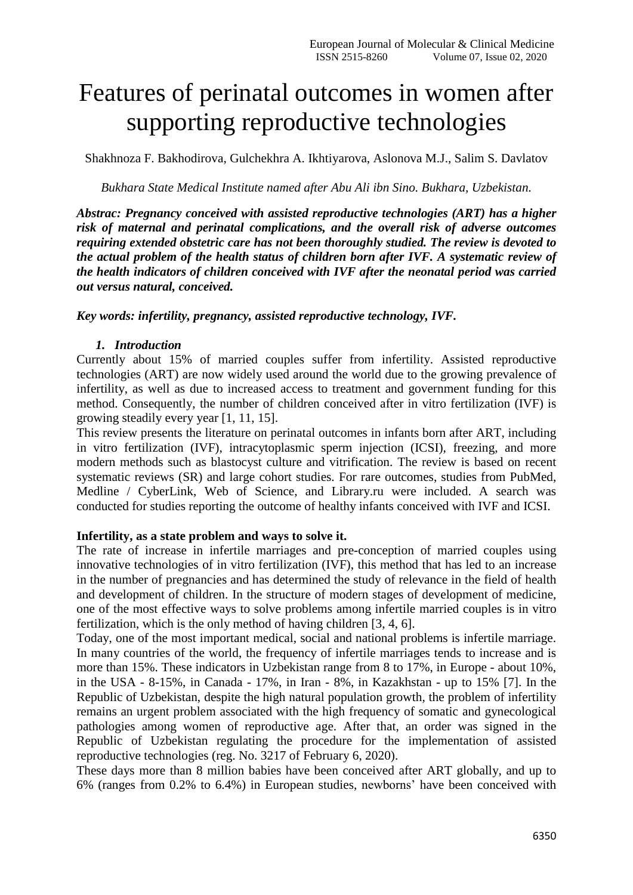# Features of perinatal outcomes in women after supporting reproductive technologies

Shakhnoza F. Bakhodirova, Gulchekhra A. Ikhtiyarova, Aslonova M.J., Salim S. Davlatov

*Bukhara State Medical Institute named after Abu Ali ibn Sino. Bukhara, Uzbekistan.*

*Abstrac: Pregnancy conceived with assisted reproductive technologies (ART) has a higher risk of maternal and perinatal complications, and the overall risk of adverse outcomes requiring extended obstetric care has not been thoroughly studied. The review is devoted to the actual problem of the health status of children born after IVF. A systematic review of the health indicators of children conceived with IVF after the neonatal period was carried out versus natural, conceived.*

### *Key words: infertility, pregnancy, assisted reproductive technology, IVF.*

### *1. Introduction*

Currently about 15% of married couples suffer from infertility. Assisted reproductive technologies (ART) are now widely used around the world due to the growing prevalence of infertility, as well as due to increased access to treatment and government funding for this method. Consequently, the number of children conceived after in vitro fertilization (IVF) is growing steadily every year [1, 11, 15].

This review presents the literature on perinatal outcomes in infants born after ART, including in vitro fertilization (IVF), intracytoplasmic sperm injection (ICSI), freezing, and more modern methods such as blastocyst culture and vitrification. The review is based on recent systematic reviews (SR) and large cohort studies. For rare outcomes, studies from PubMed, Medline / CyberLink, Web of Science, and Library.ru were included. A search was conducted for studies reporting the outcome of healthy infants conceived with IVF and ICSI.

### **Infertility, as a state problem and ways to solve it.**

The rate of increase in infertile marriages and pre-conception of married couples using innovative technologies of in vitro fertilization (IVF), this method that has led to an increase in the number of pregnancies and has determined the study of relevance in the field of health and development of children. In the structure of modern stages of development of medicine, one of the most effective ways to solve problems among infertile married couples is in vitro fertilization, which is the only method of having children [3, 4, 6].

Today, one of the most important medical, social and national problems is infertile marriage. In many countries of the world, the frequency of infertile marriages tends to increase and is more than 15%. These indicators in Uzbekistan range from 8 to 17%, in Europe - about 10%, in the USA - 8-15%, in Canada - 17%, in Iran - 8%, in Kazakhstan - up to 15% [7]. In the Republic of Uzbekistan, despite the high natural population growth, the problem of infertility remains an urgent problem associated with the high frequency of somatic and gynecological pathologies among women of reproductive age. After that, an order was signed in the Republic of Uzbekistan regulating the procedure for the implementation of assisted reproductive technologies (reg. No. 3217 of February 6, 2020).

These days more than 8 million babies have been conceived after ART globally, and up to 6% (ranges from 0.2% to 6.4%) in European studies, newborns' have been conceived with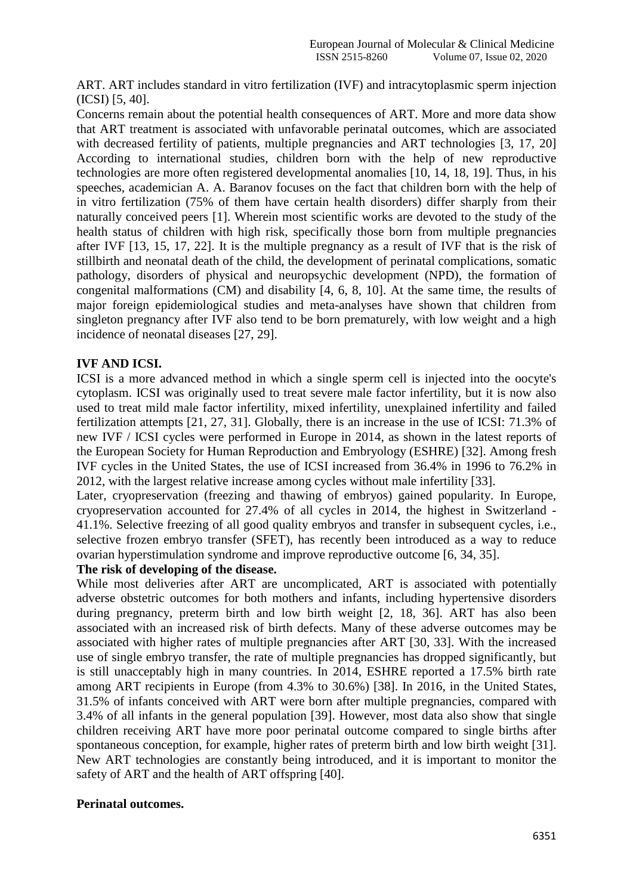ART. ART includes standard in vitro fertilization (IVF) and intracytoplasmic sperm injection (ICSI) [5, 40].

Concerns remain about the potential health consequences of ART. More and more data show that ART treatment is associated with unfavorable perinatal outcomes, which are associated with decreased fertility of patients, multiple pregnancies and ART technologies [3, 17, 20] According to international studies, children born with the help of new reproductive technologies are more often registered developmental anomalies [10, 14, 18, 19]. Thus, in his speeches, academician A. A. Baranov focuses on the fact that children born with the help of in vitro fertilization (75% of them have certain health disorders) differ sharply from their naturally conceived peers [1]. Wherein most scientific works are devoted to the study of the health status of children with high risk, specifically those born from multiple pregnancies after IVF [13, 15, 17, 22]. It is the multiple pregnancy as a result of IVF that is the risk of stillbirth and neonatal death of the child, the development of perinatal complications, somatic pathology, disorders of physical and neuropsychic development (NPD), the formation of congenital malformations (CM) and disability [4, 6, 8, 10]. At the same time, the results of major foreign epidemiological studies and meta-analyses have shown that children from singleton pregnancy after IVF also tend to be born prematurely, with low weight and a high incidence of neonatal diseases [27, 29].

## **IVF AND ICSI.**

ICSI is a more advanced method in which a single sperm cell is injected into the oocyte's cytoplasm. ICSI was originally used to treat severe male factor infertility, but it is now also used to treat mild male factor infertility, mixed infertility, unexplained infertility and failed fertilization attempts [21, 27, 31]. Globally, there is an increase in the use of ICSI: 71.3% of new IVF / ICSI cycles were performed in Europe in 2014, as shown in the latest reports of the European Society for Human Reproduction and Embryology (ESHRE) [32]. Among fresh IVF cycles in the United States, the use of ICSI increased from 36.4% in 1996 to 76.2% in 2012, with the largest relative increase among cycles without male infertility [33].

Later, cryopreservation (freezing and thawing of embryos) gained popularity. In Europe, cryopreservation accounted for 27.4% of all cycles in 2014, the highest in Switzerland - 41.1%. Selective freezing of all good quality embryos and transfer in subsequent cycles, i.e., selective frozen embryo transfer (SFET), has recently been introduced as a way to reduce ovarian hyperstimulation syndrome and improve reproductive outcome [6, 34, 35].

### **The risk of developing of the disease.**

While most deliveries after ART are uncomplicated, ART is associated with potentially adverse obstetric outcomes for both mothers and infants, including hypertensive disorders during pregnancy, preterm birth and low birth weight [2, 18, 36]. ART has also been associated with an increased risk of birth defects. Many of these adverse outcomes may be associated with higher rates of multiple pregnancies after ART [30, 33]. With the increased use of single embryo transfer, the rate of multiple pregnancies has dropped significantly, but is still unacceptably high in many countries. In 2014, ESHRE reported a 17.5% birth rate among ART recipients in Europe (from 4.3% to 30.6%) [38]. In 2016, in the United States, 31.5% of infants conceived with ART were born after multiple pregnancies, compared with 3.4% of all infants in the general population [39]. However, most data also show that single children receiving ART have more poor perinatal outcome compared to single births after spontaneous conception, for example, higher rates of preterm birth and low birth weight [31]. New ART technologies are constantly being introduced, and it is important to monitor the safety of ART and the health of ART offspring [40].

### **Perinatal outcomes.**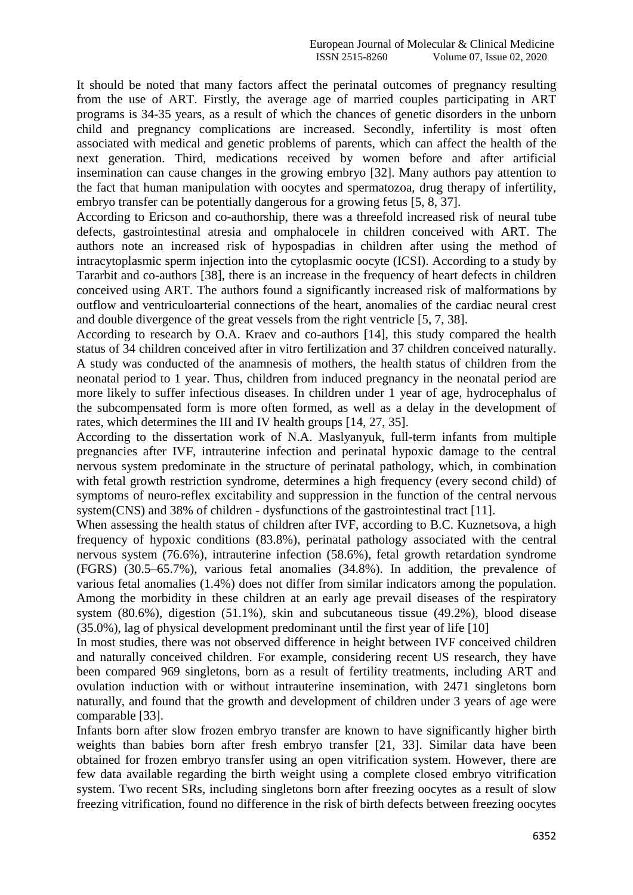It should be noted that many factors affect the perinatal outcomes of pregnancy resulting from the use of ART. Firstly, the average age of married couples participating in ART programs is 34-35 years, as a result of which the chances of genetic disorders in the unborn child and pregnancy complications are increased. Secondly, infertility is most often associated with medical and genetic problems of parents, which can affect the health of the next generation. Third, medications received by women before and after artificial insemination can cause changes in the growing embryo [32]. Many authors pay attention to the fact that human manipulation with oocytes and spermatozoa, drug therapy of infertility, embryo transfer can be potentially dangerous for a growing fetus [5, 8, 37].

According to Ericson and co-authorship, there was a threefold increased risk of neural tube defects, gastrointestinal atresia and omphalocele in children conceived with ART. The authors note an increased risk of hypospadias in children after using the method of intracytoplasmic sperm injection into the cytoplasmic oocyte (ICSI). According to a study by Tararbit and co-authors [38], there is an increase in the frequency of heart defects in children conceived using ART. The authors found a significantly increased risk of malformations by outflow and ventriculoarterial connections of the heart, anomalies of the cardiac neural crest and double divergence of the great vessels from the right ventricle [5, 7, 38].

According to research by O.A. Kraev and co-authors [14], this study compared the health status of 34 children conceived after in vitro fertilization and 37 children conceived naturally. A study was conducted of the anamnesis of mothers, the health status of children from the neonatal period to 1 year. Thus, children from induced pregnancy in the neonatal period are more likely to suffer infectious diseases. In children under 1 year of age, hydrocephalus of the subcompensated form is more often formed, as well as a delay in the development of rates, which determines the III and IV health groups [14, 27, 35].

According to the dissertation work of N.A. Maslyanyuk, full-term infants from multiple pregnancies after IVF, intrauterine infection and perinatal hypoxic damage to the central nervous system predominate in the structure of perinatal pathology, which, in combination with fetal growth restriction syndrome, determines a high frequency (every second child) of symptoms of neuro-reflex excitability and suppression in the function of the central nervous system(CNS) and 38% of children - dysfunctions of the gastrointestinal tract [11].

When assessing the health status of children after IVF, according to B.C. Kuznetsova, a high frequency of hypoxic conditions (83.8%), perinatal pathology associated with the central nervous system (76.6%), intrauterine infection (58.6%), fetal growth retardation syndrome (FGRS) (30.5–65.7%), various fetal anomalies (34.8%). In addition, the prevalence of various fetal anomalies (1.4%) does not differ from similar indicators among the population. Among the morbidity in these children at an early age prevail diseases of the respiratory system (80.6%), digestion (51.1%), skin and subcutaneous tissue (49.2%), blood disease (35.0%), lag of physical development predominant until the first year of life [10]

In most studies, there was not observed difference in height between IVF conceived children and naturally conceived children. For example, considering recent US research, they have been compared 969 singletons, born as a result of fertility treatments, including ART and ovulation induction with or without intrauterine insemination, with 2471 singletons born naturally, and found that the growth and development of children under 3 years of age were comparable [33].

Infants born after slow frozen embryo transfer are known to have significantly higher birth weights than babies born after fresh embryo transfer [21, 33]. Similar data have been obtained for frozen embryo transfer using an open vitrification system. However, there are few data available regarding the birth weight using a complete closed embryo vitrification system. Two recent SRs, including singletons born after freezing oocytes as a result of slow freezing vitrification, found no difference in the risk of birth defects between freezing oocytes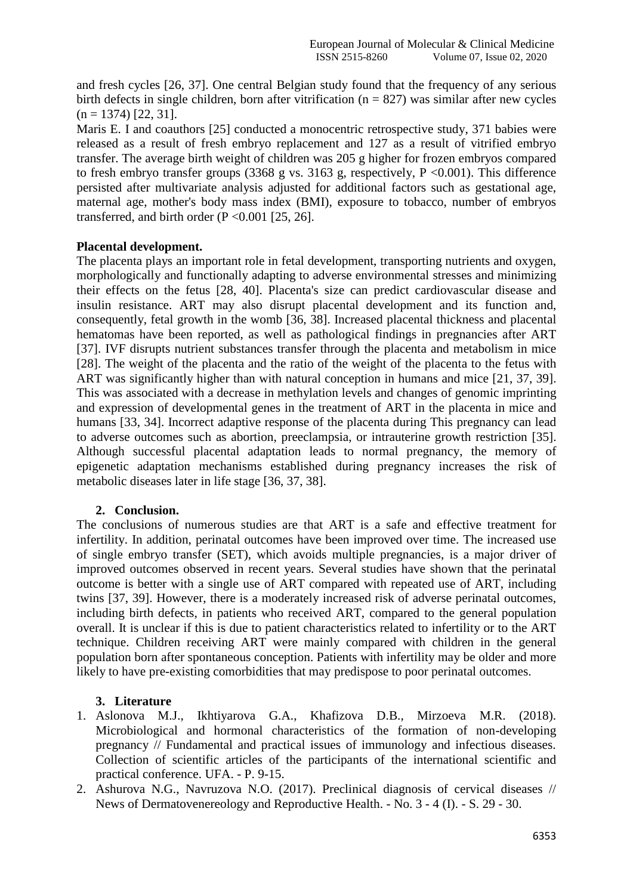and fresh cycles [26, 37]. One central Belgian study found that the frequency of any serious birth defects in single children, born after vitrification ( $n = 827$ ) was similar after new cycles  $(n = 1374)$  [22, 31].

Maris E. I and coauthors [25] conducted a monocentric retrospective study, 371 babies were released as a result of fresh embryo replacement and 127 as a result of vitrified embryo transfer. The average birth weight of children was 205 g higher for frozen embryos compared to fresh embryo transfer groups (3368 g vs. 3163 g, respectively, P <0.001). This difference persisted after multivariate analysis adjusted for additional factors such as gestational age, maternal age, mother's body mass index (BMI), exposure to tobacco, number of embryos transferred, and birth order  $(P \le 0.001$  [25, 26].

### **Placental development.**

The placenta plays an important role in fetal development, transporting nutrients and oxygen, morphologically and functionally adapting to adverse environmental stresses and minimizing their effects on the fetus [28, 40]. Placenta's size can predict cardiovascular disease and insulin resistance. ART may also disrupt placental development and its function and, consequently, fetal growth in the womb [36, 38]. Increased placental thickness and placental hematomas have been reported, as well as pathological findings in pregnancies after ART [37]. IVF disrupts nutrient substances transfer through the placenta and metabolism in mice [28]. The weight of the placenta and the ratio of the weight of the placenta to the fetus with ART was significantly higher than with natural conception in humans and mice [21, 37, 39]. This was associated with a decrease in methylation levels and changes of genomic imprinting and expression of developmental genes in the treatment of ART in the placenta in mice and humans [33, 34]. Incorrect adaptive response of the placenta during This pregnancy can lead to adverse outcomes such as abortion, preeclampsia, or intrauterine growth restriction [35]. Although successful placental adaptation leads to normal pregnancy, the memory of epigenetic adaptation mechanisms established during pregnancy increases the risk of metabolic diseases later in life stage [36, 37, 38].

### **2. Conclusion.**

The conclusions of numerous studies are that ART is a safe and effective treatment for infertility. In addition, perinatal outcomes have been improved over time. The increased use of single embryo transfer (SET), which avoids multiple pregnancies, is a major driver of improved outcomes observed in recent years. Several studies have shown that the perinatal outcome is better with a single use of ART compared with repeated use of ART, including twins [37, 39]. However, there is a moderately increased risk of adverse perinatal outcomes, including birth defects, in patients who received ART, compared to the general population overall. It is unclear if this is due to patient characteristics related to infertility or to the ART technique. Children receiving ART were mainly compared with children in the general population born after spontaneous conception. Patients with infertility may be older and more likely to have pre-existing comorbidities that may predispose to poor perinatal outcomes.

### **3. Literature**

- 1. Aslonova M.J., Ikhtiyarova G.A., Khafizova D.B., Mirzoeva M.R. (2018). Microbiological and hormonal characteristics of the formation of non-developing pregnancy // Fundamental and practical issues of immunology and infectious diseases. Collection of scientific articles of the participants of the international scientific and practical conference. UFA. - P. 9-15.
- 2. Ashurova N.G., Navruzova N.O. (2017). Preclinical diagnosis of cervical diseases // News of Dermatovenereology and Reproductive Health. - No. 3 - 4 (I). - S. 29 - 30.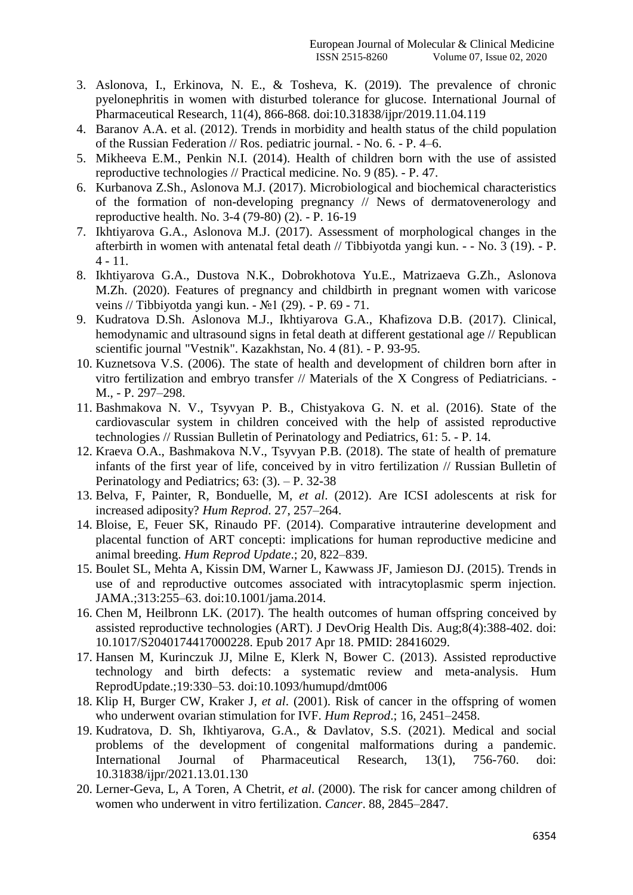- 3. Aslonova, I., Erkinova, N. E., & Tosheva, K. (2019). The prevalence of chronic pyelonephritis in women with disturbed tolerance for glucose. International Journal of Pharmaceutical Research, 11(4), 866-868. doi:10.31838/ijpr/2019.11.04.119
- 4. Baranov A.A. et al. (2012). Trends in morbidity and health status of the child population of the Russian Federation // Ros. pediatric journal. - No. 6. - P. 4–6.
- 5. Mikheeva E.M., Penkin N.I. (2014). Health of children born with the use of assisted reproductive technologies // Practical medicine. No. 9 (85). - P. 47.
- 6. Kurbanova Z.Sh., Aslonova M.J. (2017). Microbiological and biochemical characteristics of the formation of non-developing pregnancy // News of dermatovenerology and reproductive health. No. 3-4 (79-80) (2). - P. 16-19
- 7. Ikhtiyarova G.A., Aslonova M.J. (2017). Assessment of morphological changes in the afterbirth in women with antenatal fetal death // Tibbiyotda yangi kun. - - No. 3 (19). - P.  $4 - 11.$
- 8. Ikhtiyarova G.A., Dustova N.K., Dobrokhotova Yu.E., Matrizaeva G.Zh., Aslonova M.Zh. (2020). Features of pregnancy and childbirth in pregnant women with varicose veins // Tibbiyotda yangi kun. - №1 (29). - P. 69 - 71.
- 9. Kudratova D.Sh. Aslonova M.J., Ikhtiyarova G.A., Khafizova D.B. (2017). Clinical, hemodynamic and ultrasound signs in fetal death at different gestational age // Republican scientific journal "Vestnik". Kazakhstan, No. 4 (81). - P. 93-95.
- 10. Kuznetsova V.S. (2006). The state of health and development of children born after in vitro fertilization and embryo transfer // Materials of the X Congress of Pediatricians. - M., - P. 297–298.
- 11. Bashmakova N. V., Tsyvyan P. B., Chistyakova G. N. et al. (2016). State of the cardiovascular system in children conceived with the help of assisted reproductive technologies // Russian Bulletin of Perinatology and Pediatrics, 61: 5. - P. 14.
- 12. Kraeva O.A., Bashmakova N.V., Tsyvyan P.B. (2018). The state of health of premature infants of the first year of life, conceived by in vitro fertilization // Russian Bulletin of Perinatology and Pediatrics;  $63: (3)$ . – P. 32-38
- 13. Belva, F, Painter, R, Bonduelle, M, *et al*. (2012). Are ICSI adolescents at risk for increased adiposity? *Hum Reprod*. 27, 257–264.
- 14. Bloise, E, Feuer SK, Rinaudo PF. (2014). Comparative intrauterine development and placental function of ART concepti: implications for human reproductive medicine and animal breeding. *Hum Reprod Update*.; 20, 822–839.
- 15. Boulet SL, Mehta A, Kissin DM, Warner L, Kawwass JF, Jamieson DJ. (2015). Trends in use of and reproductive outcomes associated with intracytoplasmic sperm injection. JAMA.;313:255–63. doi:10.1001/jama.2014.
- 16. Chen M, Heilbronn LK. (2017). The health outcomes of human offspring conceived by assisted reproductive technologies (ART). J DevOrig Health Dis. Aug;8(4):388-402. doi: 10.1017/S2040174417000228. Epub 2017 Apr 18. PMID: 28416029.
- 17. Hansen M, Kurinczuk JJ, Milne E, Klerk N, Bower C. (2013). Assisted reproductive technology and birth defects: a systematic review and meta-analysis. Hum ReprodUpdate.;19:330–53. doi:10.1093/humupd/dmt006
- 18. Klip H, Burger CW, Kraker J, *et al*. (2001). Risk of cancer in the offspring of women who underwent ovarian stimulation for IVF. *Hum Reprod*.; 16, 2451–2458.
- 19. Kudratova, D. Sh, Ikhtiyarova, G.A., & Davlatov, S.S. (2021). Medical and social problems of the development of congenital malformations during a pandemic. International Journal of Pharmaceutical Research, 13(1), 756-760. doi: 10.31838/ijpr/2021.13.01.130
- 20. Lerner-Geva, L, A Toren, A Chetrit, *et al*. (2000). The risk for cancer among children of women who underwent in vitro fertilization. *Cancer*. 88, 2845–2847.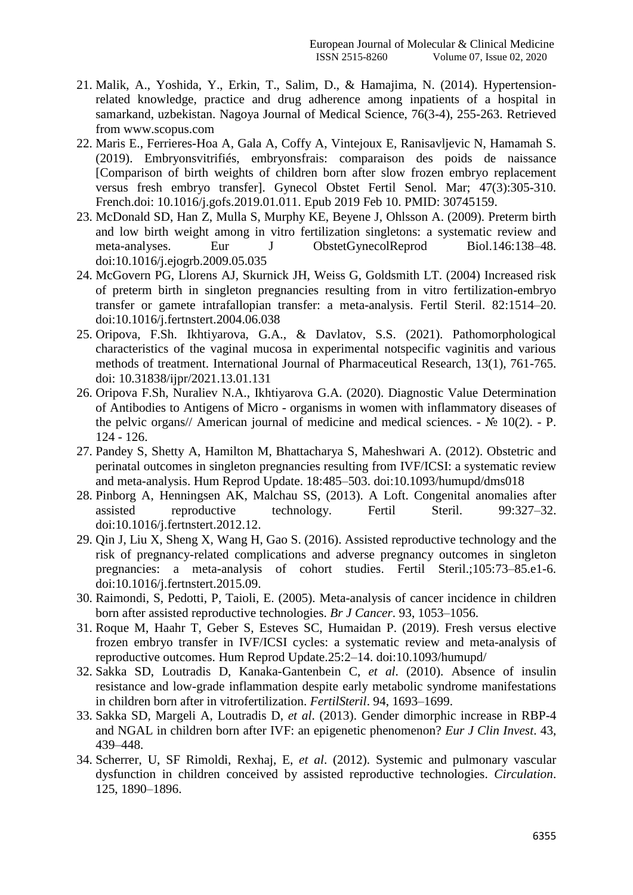- 21. Malik, A., Yoshida, Y., Erkin, T., Salim, D., & Hamajima, N. (2014). Hypertensionrelated knowledge, practice and drug adherence among inpatients of a hospital in samarkand, uzbekistan. Nagoya Journal of Medical Science, 76(3-4), 255-263. Retrieved from www.scopus.com
- 22. Maris E., Ferrieres-Hoa A, Gala A, Coffy A, Vintejoux E, Ranisavljevic N, Hamamah S. (2019). Embryonsvitrifiés, embryonsfrais: comparaison des poids de naissance [Comparison of birth weights of children born after slow frozen embryo replacement versus fresh embryo transfer]. Gynecol Obstet Fertil Senol. Mar; 47(3):305-310. French.doi: 10.1016/j.gofs.2019.01.011. Epub 2019 Feb 10. PMID: 30745159.
- 23. McDonald SD, Han Z, Mulla S, Murphy KE, Beyene J, Ohlsson A. (2009). Preterm birth and low birth weight among in vitro fertilization singletons: a systematic review and meta-analyses. Eur J ObstetGynecolReprod Biol.146:138–48. doi:10.1016/j.ejogrb.2009.05.035
- 24. McGovern PG, Llorens AJ, Skurnick JH, Weiss G, Goldsmith LT. (2004) Increased risk of preterm birth in singleton pregnancies resulting from in vitro fertilization-embryo transfer or gamete intrafallopian transfer: a meta-analysis. Fertil Steril. 82:1514–20. doi:10.1016/j.fertnstert.2004.06.038
- 25. Oripova, F.Sh. Ikhtiyarova, G.A., & Davlatov, S.S. (2021). Pathomorphological characteristics of the vaginal mucosa in experimental notspecific vaginitis and various methods of treatment. International Journal of Pharmaceutical Research, 13(1), 761-765. doi: 10.31838/ijpr/2021.13.01.131
- 26. Oripova F.Sh, Nuraliev N.A., Ikhtiyarovа G.A. (2020). Diagnostic Value Determination of Antibodies to Antigens of Micro - organisms in women with inflammatory diseases of the pelvic organs// American journal of medicine and medical sciences. -  $\mathbb{N}_{2}$  10(2). - P. 124 - 126.
- 27. Pandey S, Shetty A, Hamilton M, Bhattacharya S, Maheshwari A. (2012). Obstetric and perinatal outcomes in singleton pregnancies resulting from IVF/ICSI: a systematic review and meta-analysis. Hum Reprod Update. 18:485–503. doi:10.1093/humupd/dms018
- 28. Pinborg A, Henningsen AK, Malchau SS, (2013). A Loft. Congenital anomalies after assisted reproductive technology. Fertil Steril. 99:327–32. doi:10.1016/j.fertnstert.2012.12.
- 29. Qin J, Liu X, Sheng X, Wang H, Gao S. (2016). Assisted reproductive technology and the risk of pregnancy-related complications and adverse pregnancy outcomes in singleton pregnancies: a meta-analysis of cohort studies. Fertil Steril.;105:73–85.e1-6. doi:10.1016/j.fertnstert.2015.09.
- 30. Raimondi, S, Pedotti, P, Taioli, E. (2005). Meta-analysis of cancer incidence in children born after assisted reproductive technologies. *Br J Cancer*. 93, 1053–1056.
- 31. Roque M, Haahr T, Geber S, Esteves SC, Humaidan P. (2019). Fresh versus elective frozen embryo transfer in IVF/ICSI cycles: a systematic review and meta-analysis of reproductive outcomes. Hum Reprod Update.25:2–14. doi:10.1093/humupd/
- 32. Sakka SD, Loutradis D, Kanaka-Gantenbein C, *et al*. (2010). Absence of insulin resistance and low-grade inflammation despite early metabolic syndrome manifestations in children born after in vitrofertilization. *FertilSteril*. 94, 1693–1699.
- 33. Sakka SD, Margeli A, Loutradis D, *et al*. (2013). Gender dimorphic increase in RBP-4 and NGAL in children born after IVF: an epigenetic phenomenon? *Eur J Clin Invest*. 43, 439–448.
- 34. Scherrer, U, SF Rimoldi, Rexhaj, E, *et al*. (2012). Systemic and pulmonary vascular dysfunction in children conceived by assisted reproductive technologies. *Circulation*. 125, 1890–1896.